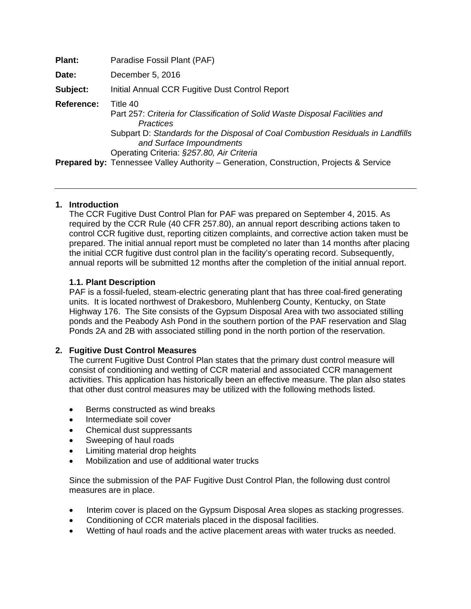| Plant:     | Paradise Fossil Plant (PAF)                                                                                                                                                                                                                                       |
|------------|-------------------------------------------------------------------------------------------------------------------------------------------------------------------------------------------------------------------------------------------------------------------|
| Date:      | December 5, 2016                                                                                                                                                                                                                                                  |
| Subject:   | Initial Annual CCR Fugitive Dust Control Report                                                                                                                                                                                                                   |
| Reference: | Title 40<br>Part 257: Criteria for Classification of Solid Waste Disposal Facilities and<br>Practices<br>Subpart D: Standards for the Disposal of Coal Combustion Residuals in Landfills<br>and Surface Impoundments<br>Operating Criteria: §257.80, Air Criteria |
|            | <b>Prepared by:</b> Tennessee Valley Authority – Generation, Construction, Projects & Service                                                                                                                                                                     |

## **1. Introduction**

The CCR Fugitive Dust Control Plan for PAF was prepared on September 4, 2015. As required by the CCR Rule (40 CFR 257.80), an annual report describing actions taken to control CCR fugitive dust, reporting citizen complaints, and corrective action taken must be prepared. The initial annual report must be completed no later than 14 months after placing the initial CCR fugitive dust control plan in the facility's operating record. Subsequently, annual reports will be submitted 12 months after the completion of the initial annual report.

# **1.1. Plant Description**

PAF is a fossil-fueled, steam-electric generating plant that has three coal-fired generating units. It is located northwest of Drakesboro, Muhlenberg County, Kentucky, on State Highway 176. The Site consists of the Gypsum Disposal Area with two associated stilling ponds and the Peabody Ash Pond in the southern portion of the PAF reservation and Slag Ponds 2A and 2B with associated stilling pond in the north portion of the reservation.

## **2. Fugitive Dust Control Measures**

The current Fugitive Dust Control Plan states that the primary dust control measure will consist of conditioning and wetting of CCR material and associated CCR management activities. This application has historically been an effective measure. The plan also states that other dust control measures may be utilized with the following methods listed.

- Berms constructed as wind breaks
- Intermediate soil cover
- Chemical dust suppressants
- Sweeping of haul roads
- Limiting material drop heights
- Mobilization and use of additional water trucks

Since the submission of the PAF Fugitive Dust Control Plan, the following dust control measures are in place.

- Interim cover is placed on the Gypsum Disposal Area slopes as stacking progresses.
- Conditioning of CCR materials placed in the disposal facilities.
- Wetting of haul roads and the active placement areas with water trucks as needed.